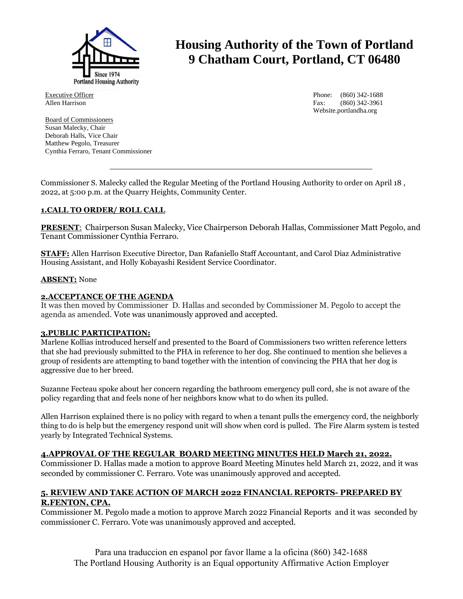

**Housing Authority of the Town of Portland 9 Chatham Court, Portland, CT 06480**

Executive Officer Allen Harrison

Board of Commissioners Susan Malecky, Chair Deborah Halls, Vice Chair Matthew Pegolo, Treasurer Cynthia Ferraro, Tenant Commissioner

Phone: (860) 342-1688 Fax: (860) 342-3961 Website.portlandha.org

Commissioner S. Malecky called the Regular Meeting of the Portland Housing Authority to order on April 18 , 2022, at 5:00 p.m. at the Quarry Heights, Community Center.

## **1.CALL TO ORDER/ ROLL CALL**

**PRESENT**: Chairperson Susan Malecky, Vice Chairperson Deborah Hallas, Commissioner Matt Pegolo, and Tenant Commissioner Cynthia Ferraro.

**STAFF:** Allen Harrison Executive Director, Dan Rafaniello Staff Accountant, and Carol Diaz Administrative Housing Assistant, and Holly Kobayashi Resident Service Coordinator.

#### **ABSENT:** None

### **2.ACCEPTANCE OF THE AGENDA**

It was then moved by Commissioner D. Hallas and seconded by Commissioner M. Pegolo to accept the agenda as amended. Vote was unanimously approved and accepted.

#### **3.PUBLIC PARTICIPATION:**

Marlene Kollias introduced herself and presented to the Board of Commissioners two written reference letters that she had previously submitted to the PHA in reference to her dog. She continued to mention she believes a group of residents are attempting to band together with the intention of convincing the PHA that her dog is aggressive due to her breed.

Suzanne Fecteau spoke about her concern regarding the bathroom emergency pull cord, she is not aware of the policy regarding that and feels none of her neighbors know what to do when its pulled.

Allen Harrison explained there is no policy with regard to when a tenant pulls the emergency cord, the neighborly thing to do is help but the emergency respond unit will show when cord is pulled. The Fire Alarm system is tested yearly by Integrated Technical Systems.

#### **4.APPROVAL OF THE REGULAR BOARD MEETING MINUTES HELD March 21, 2022.**

Commissioner D. Hallas made a motion to approve Board Meeting Minutes held March 21, 2022, and it was seconded by commissioner C. Ferraro. Vote was unanimously approved and accepted.

# **5. REVIEW AND TAKE ACTION OF MARCH 2022 FINANCIAL REPORTS- PREPARED BY R.FENTON, CPA.**

Commissioner M. Pegolo made a motion to approve March 2022 Financial Reports and it was seconded by commissioner C. Ferraro. Vote was unanimously approved and accepted.

Para una traduccion en espanol por favor llame a la oficina (860) 342-1688 The Portland Housing Authority is an Equal opportunity Affirmative Action Employer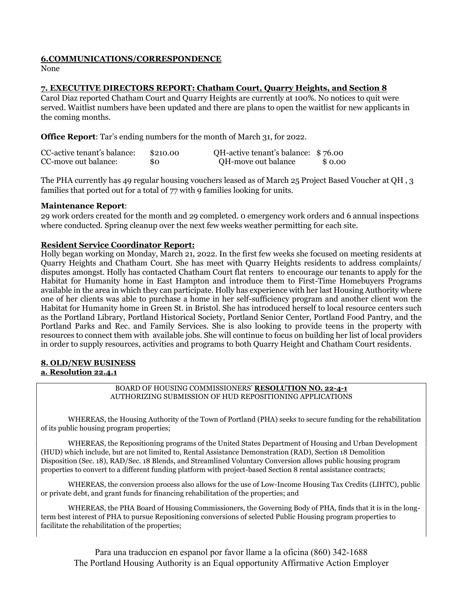## **6.COMMUNICATIONS/CORRESPONDENCE**

None

# **7. EXECUTIVE DIRECTORS REPORT: Chatham Court, Quarry Heights, and Section 8**

Carol Diaz reported Chatham Court and Quarry Heights are currently at 100%. No notices to quit were served. Waitlist numbers have been updated and there are plans to open the waitlist for new applicants in the coming months.

**Office Report**: Tar's ending numbers for the month of March 31, for 2022.

| CC-active tenant's balance: | \$210.00 | QH-active tenant's balance: \$76.00 |        |
|-----------------------------|----------|-------------------------------------|--------|
| CC-move out balance:        | \$0      | QH-move out balance                 | \$0.00 |

The PHA currently has 49 regular housing vouchers leased as of March 25 Project Based Voucher at QH , 3 families that ported out for a total of 77 with 9 families looking for units.

## **Maintenance Report**:

29 work orders created for the month and 29 completed. 0 emergency work orders and 6 annual inspections where conducted. Spring cleanup over the next few weeks weather permitting for each site.

# **Resident Service Coordinator Report:**

Holly began working on Monday, March 21, 2022. In the first few weeks she focused on meeting residents at Quarry Heights and Chatham Court. She has meet with Quarry Heights residents to address complaints/ disputes amongst. Holly has contacted Chatham Court flat renters to encourage our tenants to apply for the Habitat for Humanity home in East Hampton and introduce them to First-Time Homebuyers Programs available in the area in which they can participate. Holly has experience with her last Housing Authority where one of her clients was able to purchase a home in her self-sufficiency program and another client won the Habitat for Humanity home in Green St. in Bristol. She has introduced herself to local resource centers such as the Portland Library, Portland Historical Society, Portland Senior Center, Portland Food Pantry, and the Portland Parks and Rec. and Family Services. She is also looking to provide teens in the property with resources to connect them with available jobs. She will continue to focus on building her list of local providers in order to supply resources, activities and programs to both Quarry Height and Chatham Court residents.

## **8. OLD/NEW BUSINESS a. Resolution 22.4.1**

BOARD OF HOUSING COMMISSIONERS' **RESOLUTION NO. 22-4-1** AUTHORIZING SUBMISSION OF HUD REPOSITIONING APPLICATIONS

WHEREAS, the Housing Authority of the Town of Portland (PHA) seeks to secure funding for the rehabilitation of its public housing program properties;

WHEREAS, the Repositioning programs of the United States Department of Housing and Urban Development (HUD) which include, but are not limited to, Rental Assistance Demonstration (RAD), Section 18 Demolition Disposition (Sec. 18), RAD/Sec. 18 Blends, and Streamlined Voluntary Conversion allows public housing program properties to convert to a different funding platform with project-based Section 8 rental assistance contracts;

WHEREAS, the conversion process also allows for the use of Low-Income Housing Tax Credits (LIHTC), public or private debt, and grant funds for financing rehabilitation of the properties; and

WHEREAS, the PHA Board of Housing Commissioners, the Governing Body of PHA, finds that it is in the longterm best interest of PHA to pursue Repositioning conversions of selected Public Housing program properties to facilitate the rehabilitation of the properties;

Para una traduccion en espanol por favor llame a la oficina (860) 342-1688 The Portland Housing Authority is an Equal opportunity Affirmative Action Employer